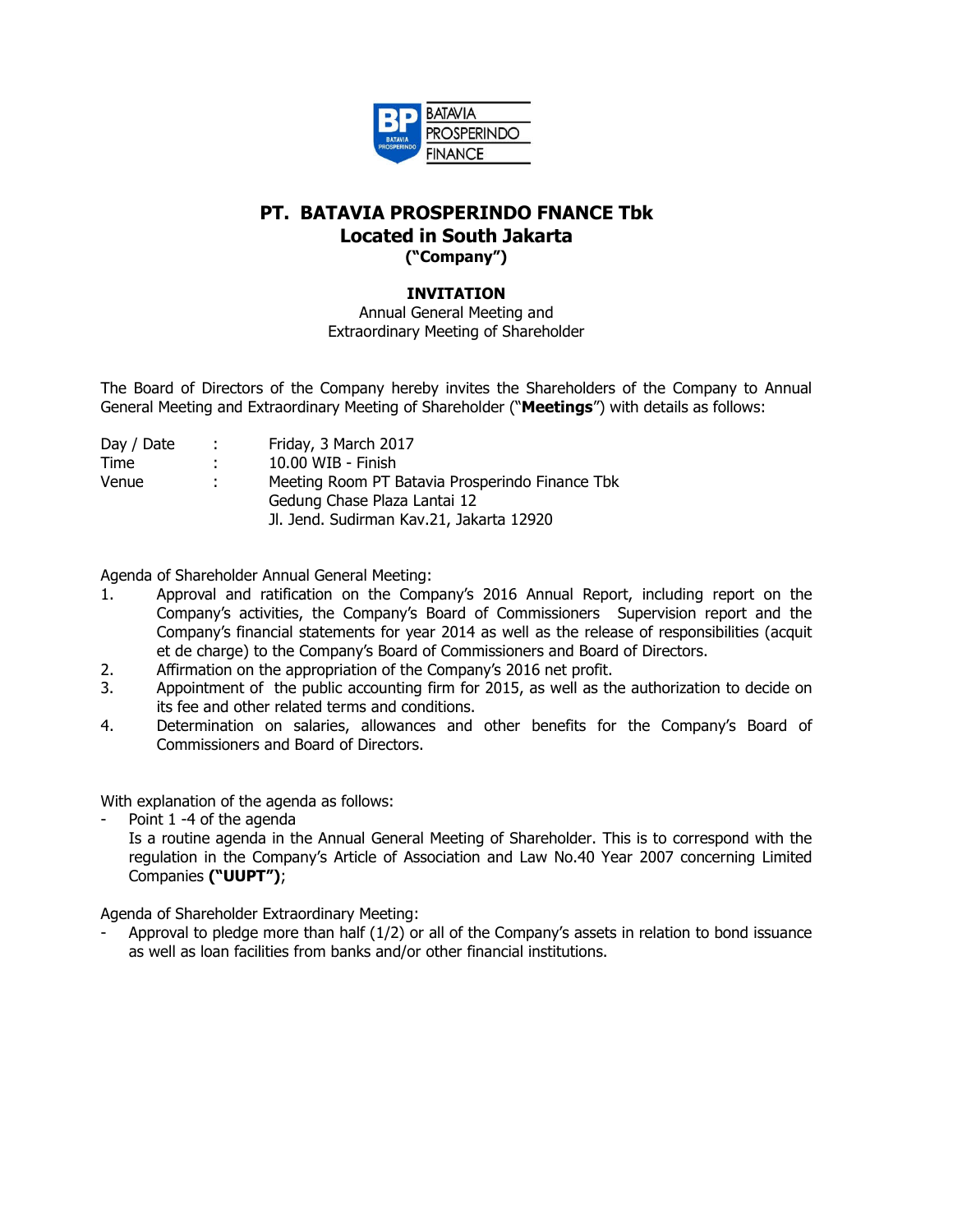

## **PT. BATAVIA PROSPERINDO FNANCE Tbk Located in South Jakarta ("Company")**

## **INVITATION**

Annual General Meeting and Extraordinary Meeting of Shareholder

The Board of Directors of the Company hereby invites the Shareholders of the Company to Annual General Meeting and Extraordinary Meeting of Shareholder ("**Meetings**") with details as follows:

| Day / Date | n Britannia | Friday, 3 March 2017                            |
|------------|-------------|-------------------------------------------------|
| Time       | di s        | 10.00 WIB - Finish                              |
| Venue      | di s        | Meeting Room PT Batavia Prosperindo Finance Tbk |
|            |             | Gedung Chase Plaza Lantai 12                    |
|            |             | Jl. Jend. Sudirman Kav.21, Jakarta 12920        |
|            |             |                                                 |

Agenda of Shareholder Annual General Meeting:

- 1. Approval and ratification on the Company's 2016 Annual Report, including report on the Company's activities, the Company's Board of Commissioners Supervision report and the Company's financial statements for year 2014 as well as the release of responsibilities (acquit et de charge) to the Company's Board of Commissioners and Board of Directors.
- 2. Affirmation on the appropriation of the Company's 2016 net profit.
- 3. Appointment of the public accounting firm for 2015, as well as the authorization to decide on its fee and other related terms and conditions.
- 4. Determination on salaries, allowances and other benefits for the Company's Board of Commissioners and Board of Directors.

With explanation of the agenda as follows:

Point 1 -4 of the agenda

Is a routine agenda in the Annual General Meeting of Shareholder. This is to correspond with the regulation in the Company's Article of Association and Law No.40 Year 2007 concerning Limited Companies **("UUPT")**;

Agenda of Shareholder Extraordinary Meeting:

Approval to pledge more than half (1/2) or all of the Company's assets in relation to bond issuance as well as loan facilities from banks and/or other financial institutions.